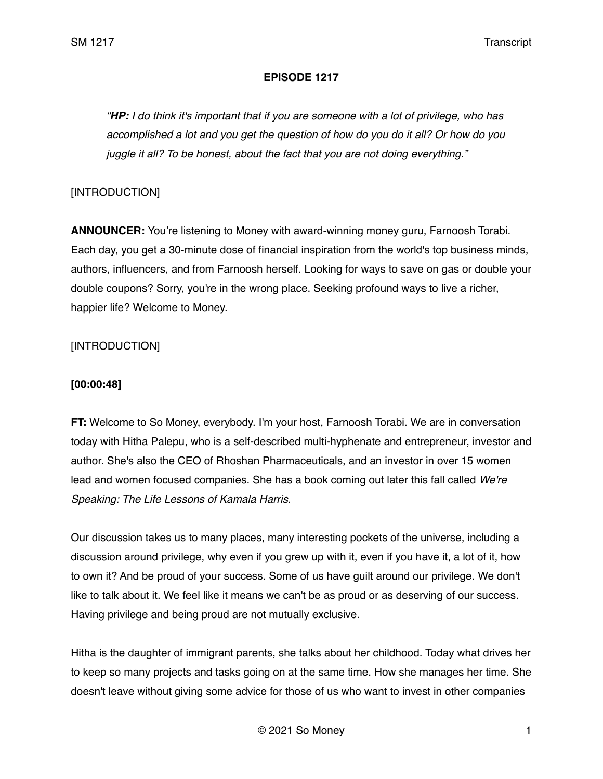## **EPISODE 1217**

*"HP: I do think it's important that if you are someone with a lot of privilege, who has accomplished a lot and you get the question of how do you do it all? Or how do you juggle it all? To be honest, about the fact that you are not doing everything."* 

## [INTRODUCTION]

**ANNOUNCER:** You're listening to Money with award-winning money guru, Farnoosh Torabi. Each day, you get a 30-minute dose of financial inspiration from the world's top business minds, authors, influencers, and from Farnoosh herself. Looking for ways to save on gas or double your double coupons? Sorry, you're in the wrong place. Seeking profound ways to live a richer, happier life? Welcome to Money.

# [INTRODUCTION]

### **[00:00:48]**

**FT:** Welcome to So Money, everybody. I'm your host, Farnoosh Torabi. We are in conversation today with Hitha Palepu, who is a self-described multi-hyphenate and entrepreneur, investor and author. She's also the CEO of Rhoshan Pharmaceuticals, and an investor in over 15 women lead and women focused companies. She has a book coming out later this fall called *We're Speaking: The Life Lessons of Kamala Harris*.

Our discussion takes us to many places, many interesting pockets of the universe, including a discussion around privilege, why even if you grew up with it, even if you have it, a lot of it, how to own it? And be proud of your success. Some of us have guilt around our privilege. We don't like to talk about it. We feel like it means we can't be as proud or as deserving of our success. Having privilege and being proud are not mutually exclusive.

Hitha is the daughter of immigrant parents, she talks about her childhood. Today what drives her to keep so many projects and tasks going on at the same time. How she manages her time. She doesn't leave without giving some advice for those of us who want to invest in other companies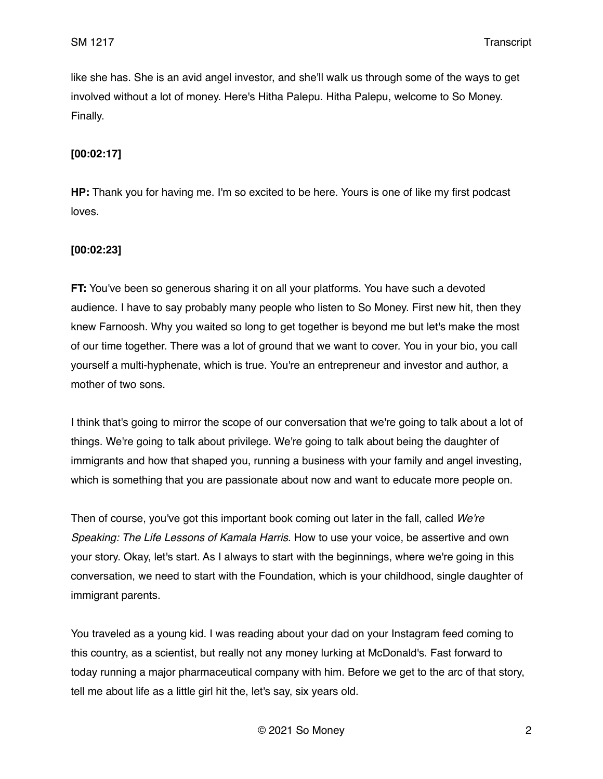like she has. She is an avid angel investor, and she'll walk us through some of the ways to get involved without a lot of money. Here's Hitha Palepu. Hitha Palepu, welcome to So Money. Finally.

### **[00:02:17]**

**HP:** Thank you for having me. I'm so excited to be here. Yours is one of like my first podcast loves.

### **[00:02:23]**

**FT:** You've been so generous sharing it on all your platforms. You have such a devoted audience. I have to say probably many people who listen to So Money. First new hit, then they knew Farnoosh. Why you waited so long to get together is beyond me but let's make the most of our time together. There was a lot of ground that we want to cover. You in your bio, you call yourself a multi-hyphenate, which is true. You're an entrepreneur and investor and author, a mother of two sons.

I think that's going to mirror the scope of our conversation that we're going to talk about a lot of things. We're going to talk about privilege. We're going to talk about being the daughter of immigrants and how that shaped you, running a business with your family and angel investing, which is something that you are passionate about now and want to educate more people on.

Then of course, you've got this important book coming out later in the fall, called *We're Speaking: The Life Lessons of Kamala Harris*. How to use your voice, be assertive and own your story. Okay, let's start. As I always to start with the beginnings, where we're going in this conversation, we need to start with the Foundation, which is your childhood, single daughter of immigrant parents.

You traveled as a young kid. I was reading about your dad on your Instagram feed coming to this country, as a scientist, but really not any money lurking at McDonald's. Fast forward to today running a major pharmaceutical company with him. Before we get to the arc of that story, tell me about life as a little girl hit the, let's say, six years old.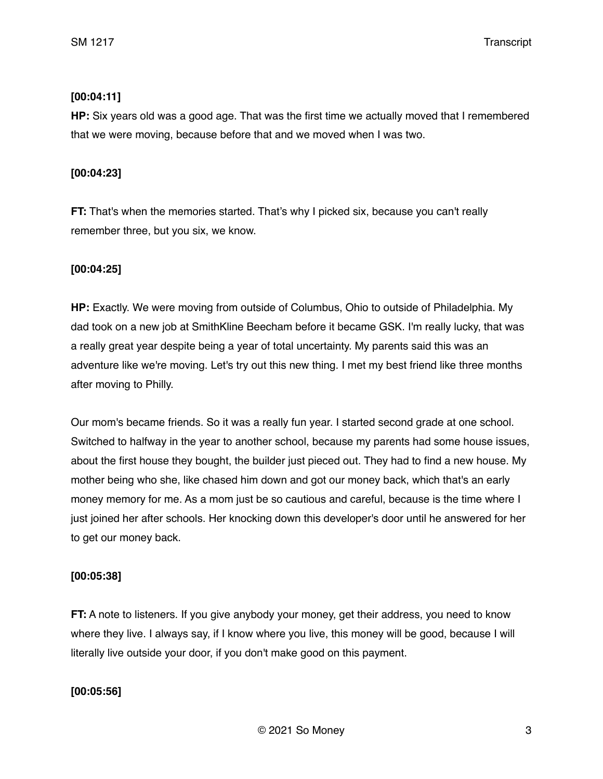## **[00:04:11]**

**HP:** Six years old was a good age. That was the first time we actually moved that I remembered that we were moving, because before that and we moved when I was two.

## **[00:04:23]**

**FT:** That's when the memories started. That's why I picked six, because you can't really remember three, but you six, we know.

## **[00:04:25]**

**HP:** Exactly. We were moving from outside of Columbus, Ohio to outside of Philadelphia. My dad took on a new job at SmithKline Beecham before it became GSK. I'm really lucky, that was a really great year despite being a year of total uncertainty. My parents said this was an adventure like we're moving. Let's try out this new thing. I met my best friend like three months after moving to Philly.

Our mom's became friends. So it was a really fun year. I started second grade at one school. Switched to halfway in the year to another school, because my parents had some house issues, about the first house they bought, the builder just pieced out. They had to find a new house. My mother being who she, like chased him down and got our money back, which that's an early money memory for me. As a mom just be so cautious and careful, because is the time where I just joined her after schools. Her knocking down this developer's door until he answered for her to get our money back.

### **[00:05:38]**

**FT:** A note to listeners. If you give anybody your money, get their address, you need to know where they live. I always say, if I know where you live, this money will be good, because I will literally live outside your door, if you don't make good on this payment.

# **[00:05:56]**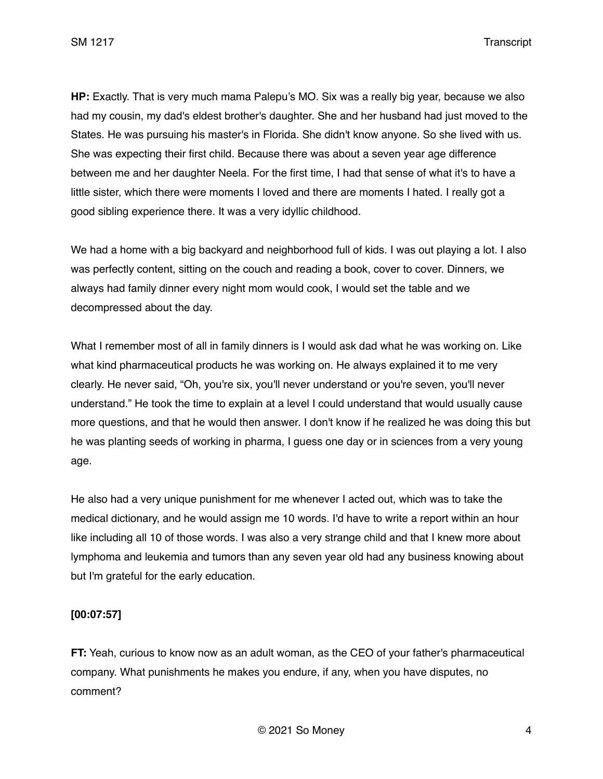**HP:** Exactly. That is very much mama Palepu's MO. Six was a really big year, because we also had my cousin, my dad's eldest brother's daughter. She and her husband had just moved to the States. He was pursuing his master's in Florida. She didn't know anyone. So she lived with us. She was expecting their first child. Because there was about a seven year age difference between me and her daughter Neela. For the first time, I had that sense of what it's to have a little sister, which there were moments I loved and there are moments I hated. I really got a good sibling experience there. It was a very idyllic childhood.

We had a home with a big backyard and neighborhood full of kids. I was out playing a lot. I also was perfectly content, sitting on the couch and reading a book, cover to cover. Dinners, we always had family dinner every night mom would cook, I would set the table and we decompressed about the day.

What I remember most of all in family dinners is I would ask dad what he was working on. Like what kind pharmaceutical products he was working on. He always explained it to me very clearly. He never said, "Oh, you're six, you'll never understand or you're seven, you'll never understand." He took the time to explain at a level I could understand that would usually cause more questions, and that he would then answer. I don't know if he realized he was doing this but he was planting seeds of working in pharma, I guess one day or in sciences from a very young age.

He also had a very unique punishment for me whenever I acted out, which was to take the medical dictionary, and he would assign me 10 words. I'd have to write a report within an hour like including all 10 of those words. I was also a very strange child and that I knew more about lymphoma and leukemia and tumors than any seven year old had any business knowing about but I'm grateful for the early education.

# **[00:07:57]**

**FT:** Yeah, curious to know now as an adult woman, as the CEO of your father's pharmaceutical company. What punishments he makes you endure, if any, when you have disputes, no comment?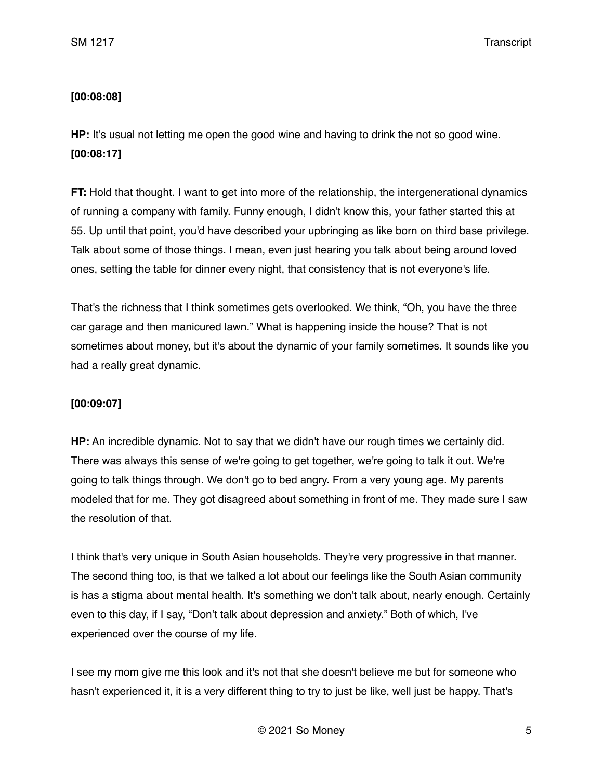# **[00:08:08]**

**HP:** It's usual not letting me open the good wine and having to drink the not so good wine. **[00:08:17]**

**FT:** Hold that thought. I want to get into more of the relationship, the intergenerational dynamics of running a company with family. Funny enough, I didn't know this, your father started this at 55. Up until that point, you'd have described your upbringing as like born on third base privilege. Talk about some of those things. I mean, even just hearing you talk about being around loved ones, setting the table for dinner every night, that consistency that is not everyone's life.

That's the richness that I think sometimes gets overlooked. We think, "Oh, you have the three car garage and then manicured lawn." What is happening inside the house? That is not sometimes about money, but it's about the dynamic of your family sometimes. It sounds like you had a really great dynamic.

# **[00:09:07]**

**HP:** An incredible dynamic. Not to say that we didn't have our rough times we certainly did. There was always this sense of we're going to get together, we're going to talk it out. We're going to talk things through. We don't go to bed angry. From a very young age. My parents modeled that for me. They got disagreed about something in front of me. They made sure I saw the resolution of that.

I think that's very unique in South Asian households. They're very progressive in that manner. The second thing too, is that we talked a lot about our feelings like the South Asian community is has a stigma about mental health. It's something we don't talk about, nearly enough. Certainly even to this day, if I say, "Don't talk about depression and anxiety." Both of which, I've experienced over the course of my life.

I see my mom give me this look and it's not that she doesn't believe me but for someone who hasn't experienced it, it is a very different thing to try to just be like, well just be happy. That's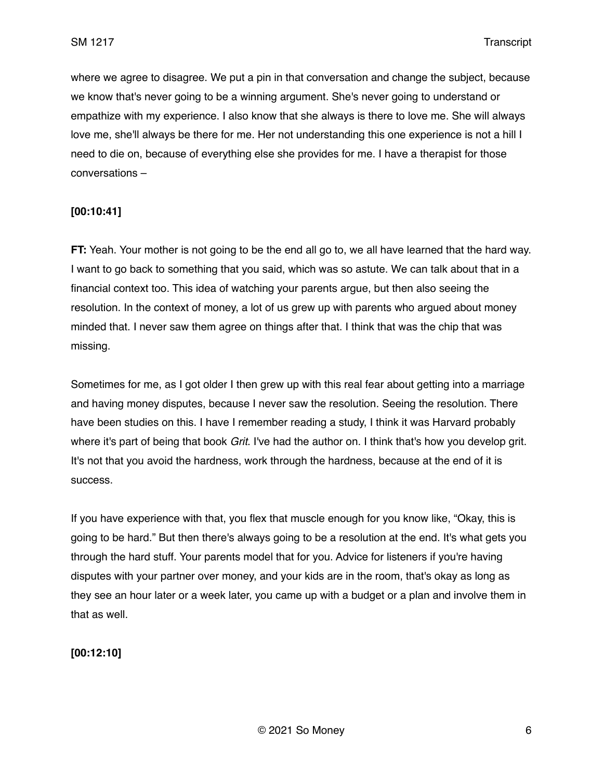where we agree to disagree. We put a pin in that conversation and change the subject, because we know that's never going to be a winning argument. She's never going to understand or empathize with my experience. I also know that she always is there to love me. She will always love me, she'll always be there for me. Her not understanding this one experience is not a hill I need to die on, because of everything else she provides for me. I have a therapist for those conversations –

### **[00:10:41]**

**FT:** Yeah. Your mother is not going to be the end all go to, we all have learned that the hard way. I want to go back to something that you said, which was so astute. We can talk about that in a financial context too. This idea of watching your parents argue, but then also seeing the resolution. In the context of money, a lot of us grew up with parents who argued about money minded that. I never saw them agree on things after that. I think that was the chip that was missing.

Sometimes for me, as I got older I then grew up with this real fear about getting into a marriage and having money disputes, because I never saw the resolution. Seeing the resolution. There have been studies on this. I have I remember reading a study, I think it was Harvard probably where it's part of being that book *Grit*. I've had the author on. I think that's how you develop grit. It's not that you avoid the hardness, work through the hardness, because at the end of it is success.

If you have experience with that, you flex that muscle enough for you know like, "Okay, this is going to be hard." But then there's always going to be a resolution at the end. It's what gets you through the hard stuff. Your parents model that for you. Advice for listeners if you're having disputes with your partner over money, and your kids are in the room, that's okay as long as they see an hour later or a week later, you came up with a budget or a plan and involve them in that as well.

### **[00:12:10]**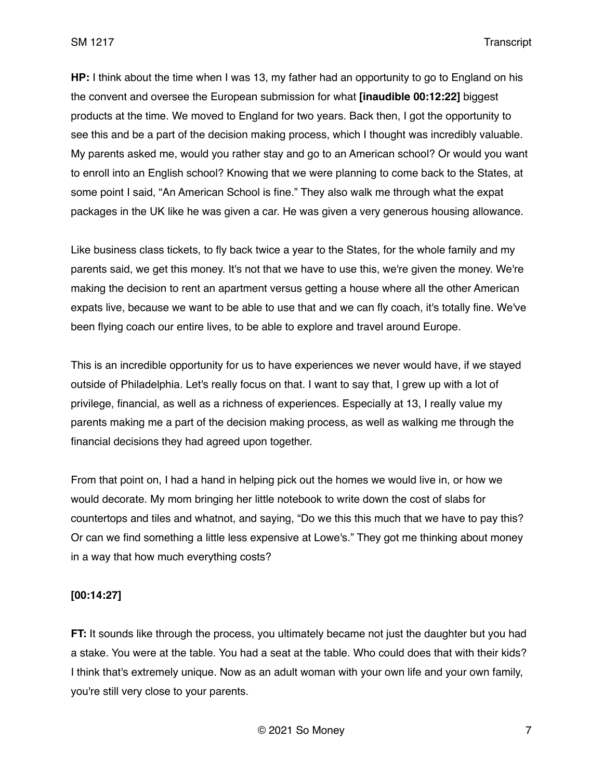**HP:** I think about the time when I was 13, my father had an opportunity to go to England on his the convent and oversee the European submission for what **[inaudible 00:12:22]** biggest products at the time. We moved to England for two years. Back then, I got the opportunity to see this and be a part of the decision making process, which I thought was incredibly valuable. My parents asked me, would you rather stay and go to an American school? Or would you want to enroll into an English school? Knowing that we were planning to come back to the States, at some point I said, "An American School is fine." They also walk me through what the expat packages in the UK like he was given a car. He was given a very generous housing allowance.

Like business class tickets, to fly back twice a year to the States, for the whole family and my parents said, we get this money. It's not that we have to use this, we're given the money. We're making the decision to rent an apartment versus getting a house where all the other American expats live, because we want to be able to use that and we can fly coach, it's totally fine. We've been flying coach our entire lives, to be able to explore and travel around Europe.

This is an incredible opportunity for us to have experiences we never would have, if we stayed outside of Philadelphia. Let's really focus on that. I want to say that, I grew up with a lot of privilege, financial, as well as a richness of experiences. Especially at 13, I really value my parents making me a part of the decision making process, as well as walking me through the financial decisions they had agreed upon together.

From that point on, I had a hand in helping pick out the homes we would live in, or how we would decorate. My mom bringing her little notebook to write down the cost of slabs for countertops and tiles and whatnot, and saying, "Do we this this much that we have to pay this? Or can we find something a little less expensive at Lowe's." They got me thinking about money in a way that how much everything costs?

### **[00:14:27]**

**FT:** It sounds like through the process, you ultimately became not just the daughter but you had a stake. You were at the table. You had a seat at the table. Who could does that with their kids? I think that's extremely unique. Now as an adult woman with your own life and your own family, you're still very close to your parents.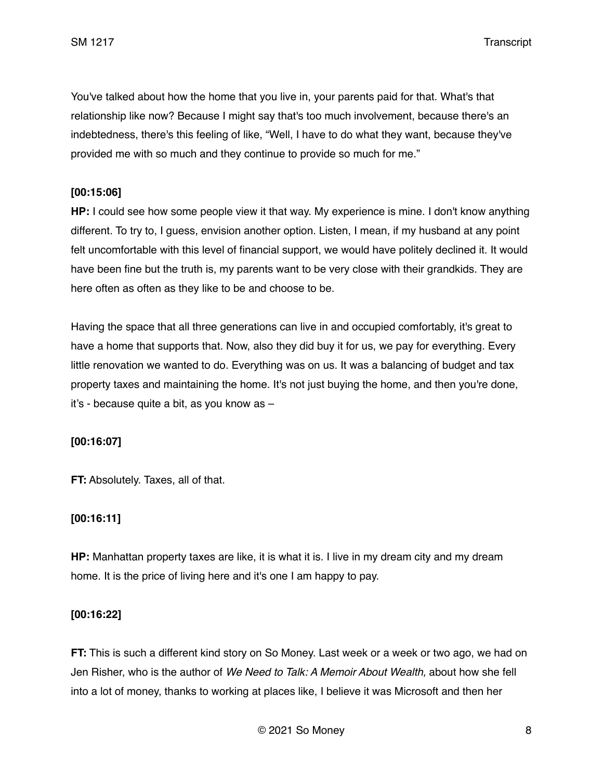You've talked about how the home that you live in, your parents paid for that. What's that relationship like now? Because I might say that's too much involvement, because there's an indebtedness, there's this feeling of like, "Well, I have to do what they want, because they've provided me with so much and they continue to provide so much for me."

### **[00:15:06]**

**HP:** I could see how some people view it that way. My experience is mine. I don't know anything different. To try to, I guess, envision another option. Listen, I mean, if my husband at any point felt uncomfortable with this level of financial support, we would have politely declined it. It would have been fine but the truth is, my parents want to be very close with their grandkids. They are here often as often as they like to be and choose to be.

Having the space that all three generations can live in and occupied comfortably, it's great to have a home that supports that. Now, also they did buy it for us, we pay for everything. Every little renovation we wanted to do. Everything was on us. It was a balancing of budget and tax property taxes and maintaining the home. It's not just buying the home, and then you're done, it's - because quite a bit, as you know as –

### **[00:16:07]**

**FT:** Absolutely. Taxes, all of that.

### **[00:16:11]**

**HP:** Manhattan property taxes are like, it is what it is. I live in my dream city and my dream home. It is the price of living here and it's one I am happy to pay.

#### **[00:16:22]**

**FT:** This is such a different kind story on So Money. Last week or a week or two ago, we had on Jen Risher, who is the author of *We Need to Talk: A Memoir About Wealth,* about how she fell into a lot of money, thanks to working at places like, I believe it was Microsoft and then her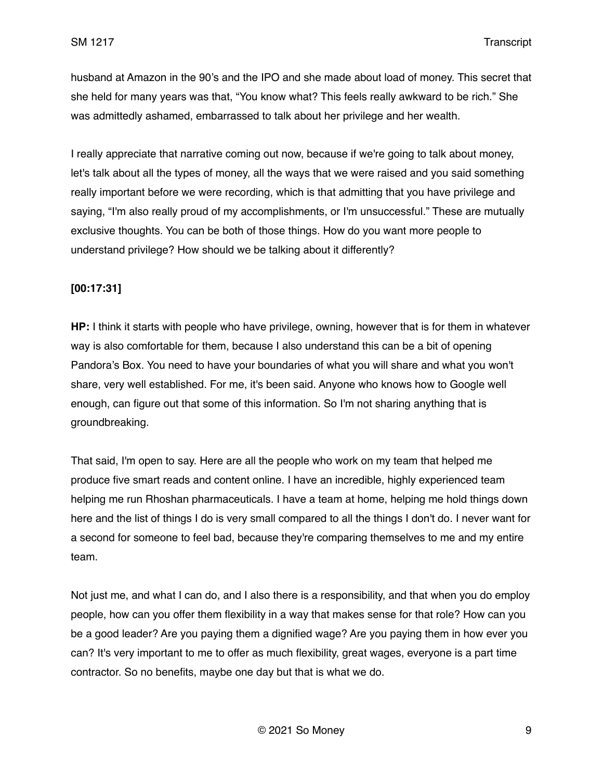husband at Amazon in the 90's and the IPO and she made about load of money. This secret that she held for many years was that, "You know what? This feels really awkward to be rich." She was admittedly ashamed, embarrassed to talk about her privilege and her wealth.

I really appreciate that narrative coming out now, because if we're going to talk about money, let's talk about all the types of money, all the ways that we were raised and you said something really important before we were recording, which is that admitting that you have privilege and saying, "I'm also really proud of my accomplishments, or I'm unsuccessful." These are mutually exclusive thoughts. You can be both of those things. How do you want more people to understand privilege? How should we be talking about it differently?

### **[00:17:31]**

**HP:** I think it starts with people who have privilege, owning, however that is for them in whatever way is also comfortable for them, because I also understand this can be a bit of opening Pandora's Box. You need to have your boundaries of what you will share and what you won't share, very well established. For me, it's been said. Anyone who knows how to Google well enough, can figure out that some of this information. So I'm not sharing anything that is groundbreaking.

That said, I'm open to say. Here are all the people who work on my team that helped me produce five smart reads and content online. I have an incredible, highly experienced team helping me run Rhoshan pharmaceuticals. I have a team at home, helping me hold things down here and the list of things I do is very small compared to all the things I don't do. I never want for a second for someone to feel bad, because they're comparing themselves to me and my entire team.

Not just me, and what I can do, and I also there is a responsibility, and that when you do employ people, how can you offer them flexibility in a way that makes sense for that role? How can you be a good leader? Are you paying them a dignified wage? Are you paying them in how ever you can? It's very important to me to offer as much flexibility, great wages, everyone is a part time contractor. So no benefits, maybe one day but that is what we do.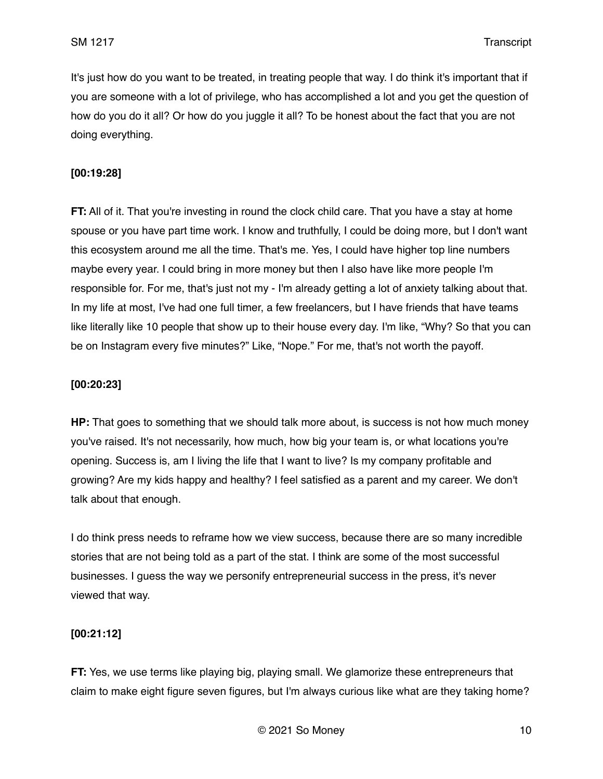It's just how do you want to be treated, in treating people that way. I do think it's important that if you are someone with a lot of privilege, who has accomplished a lot and you get the question of how do you do it all? Or how do you juggle it all? To be honest about the fact that you are not doing everything.

## **[00:19:28]**

**FT:** All of it. That you're investing in round the clock child care. That you have a stay at home spouse or you have part time work. I know and truthfully, I could be doing more, but I don't want this ecosystem around me all the time. That's me. Yes, I could have higher top line numbers maybe every year. I could bring in more money but then I also have like more people I'm responsible for. For me, that's just not my - I'm already getting a lot of anxiety talking about that. In my life at most, I've had one full timer, a few freelancers, but I have friends that have teams like literally like 10 people that show up to their house every day. I'm like, "Why? So that you can be on Instagram every five minutes?" Like, "Nope." For me, that's not worth the payoff.

#### **[00:20:23]**

**HP:** That goes to something that we should talk more about, is success is not how much money you've raised. It's not necessarily, how much, how big your team is, or what locations you're opening. Success is, am I living the life that I want to live? Is my company profitable and growing? Are my kids happy and healthy? I feel satisfied as a parent and my career. We don't talk about that enough.

I do think press needs to reframe how we view success, because there are so many incredible stories that are not being told as a part of the stat. I think are some of the most successful businesses. I guess the way we personify entrepreneurial success in the press, it's never viewed that way.

### **[00:21:12]**

**FT:** Yes, we use terms like playing big, playing small. We glamorize these entrepreneurs that claim to make eight figure seven figures, but I'm always curious like what are they taking home?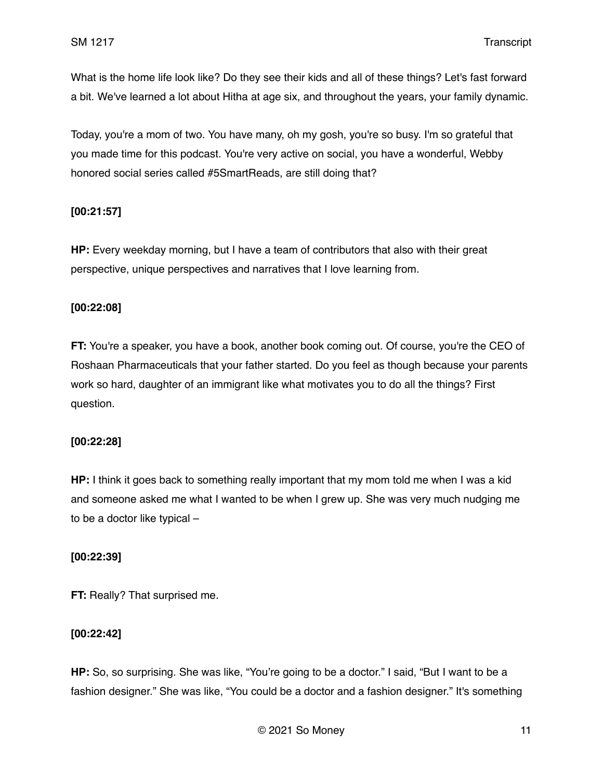What is the home life look like? Do they see their kids and all of these things? Let's fast forward a bit. We've learned a lot about Hitha at age six, and throughout the years, your family dynamic.

Today, you're a mom of two. You have many, oh my gosh, you're so busy. I'm so grateful that you made time for this podcast. You're very active on social, you have a wonderful, Webby honored social series called #5SmartReads, are still doing that?

## **[00:21:57]**

**HP:** Every weekday morning, but I have a team of contributors that also with their great perspective, unique perspectives and narratives that I love learning from.

### **[00:22:08]**

**FT:** You're a speaker, you have a book, another book coming out. Of course, you're the CEO of Roshaan Pharmaceuticals that your father started. Do you feel as though because your parents work so hard, daughter of an immigrant like what motivates you to do all the things? First question.

### **[00:22:28]**

**HP:** I think it goes back to something really important that my mom told me when I was a kid and someone asked me what I wanted to be when I grew up. She was very much nudging me to be a doctor like typical –

### **[00:22:39]**

**FT: Really? That surprised me.** 

### **[00:22:42]**

**HP:** So, so surprising. She was like, "You're going to be a doctor." I said, "But I want to be a fashion designer." She was like, "You could be a doctor and a fashion designer." It's something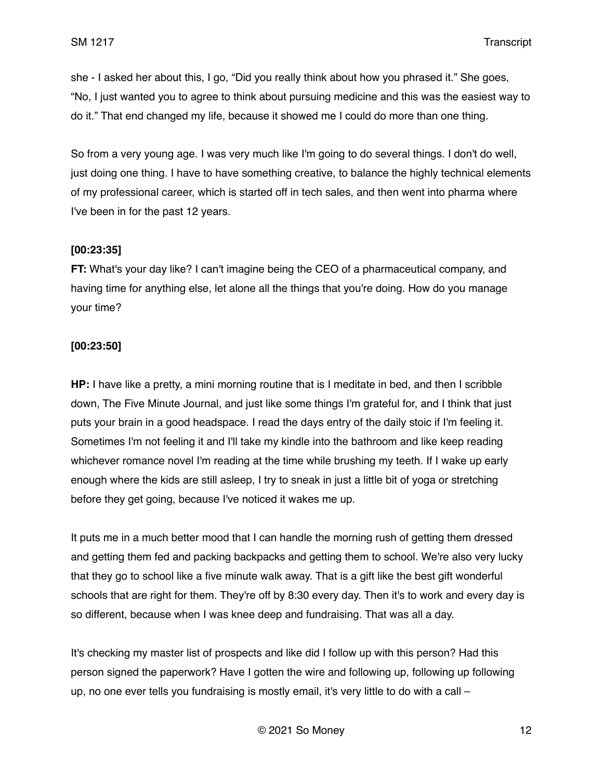she - I asked her about this, I go, "Did you really think about how you phrased it." She goes, "No, I just wanted you to agree to think about pursuing medicine and this was the easiest way to do it." That end changed my life, because it showed me I could do more than one thing.

So from a very young age. I was very much like I'm going to do several things. I don't do well, just doing one thing. I have to have something creative, to balance the highly technical elements of my professional career, which is started off in tech sales, and then went into pharma where I've been in for the past 12 years.

### **[00:23:35]**

**FT:** What's your day like? I can't imagine being the CEO of a pharmaceutical company, and having time for anything else, let alone all the things that you're doing. How do you manage your time?

## **[00:23:50]**

**HP:** I have like a pretty, a mini morning routine that is I meditate in bed, and then I scribble down, The Five Minute Journal, and just like some things I'm grateful for, and I think that just puts your brain in a good headspace. I read the days entry of the daily stoic if I'm feeling it. Sometimes I'm not feeling it and I'll take my kindle into the bathroom and like keep reading whichever romance novel I'm reading at the time while brushing my teeth. If I wake up early enough where the kids are still asleep, I try to sneak in just a little bit of yoga or stretching before they get going, because I've noticed it wakes me up.

It puts me in a much better mood that I can handle the morning rush of getting them dressed and getting them fed and packing backpacks and getting them to school. We're also very lucky that they go to school like a five minute walk away. That is a gift like the best gift wonderful schools that are right for them. They're off by 8:30 every day. Then it's to work and every day is so different, because when I was knee deep and fundraising. That was all a day.

It's checking my master list of prospects and like did I follow up with this person? Had this person signed the paperwork? Have I gotten the wire and following up, following up following up, no one ever tells you fundraising is mostly email, it's very little to do with a call –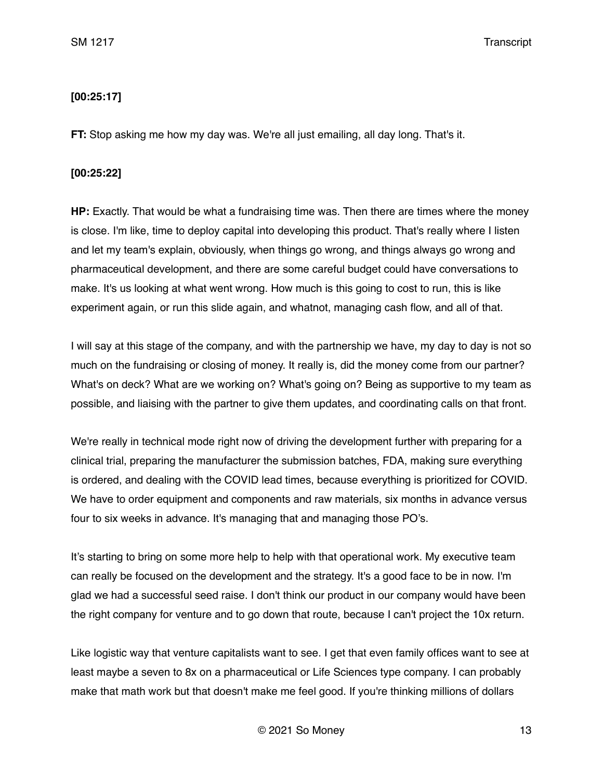## **[00:25:17]**

**FT:** Stop asking me how my day was. We're all just emailing, all day long. That's it.

### **[00:25:22]**

**HP:** Exactly. That would be what a fundraising time was. Then there are times where the money is close. I'm like, time to deploy capital into developing this product. That's really where I listen and let my team's explain, obviously, when things go wrong, and things always go wrong and pharmaceutical development, and there are some careful budget could have conversations to make. It's us looking at what went wrong. How much is this going to cost to run, this is like experiment again, or run this slide again, and whatnot, managing cash flow, and all of that.

I will say at this stage of the company, and with the partnership we have, my day to day is not so much on the fundraising or closing of money. It really is, did the money come from our partner? What's on deck? What are we working on? What's going on? Being as supportive to my team as possible, and liaising with the partner to give them updates, and coordinating calls on that front.

We're really in technical mode right now of driving the development further with preparing for a clinical trial, preparing the manufacturer the submission batches, FDA, making sure everything is ordered, and dealing with the COVID lead times, because everything is prioritized for COVID. We have to order equipment and components and raw materials, six months in advance versus four to six weeks in advance. It's managing that and managing those PO's.

It's starting to bring on some more help to help with that operational work. My executive team can really be focused on the development and the strategy. It's a good face to be in now. I'm glad we had a successful seed raise. I don't think our product in our company would have been the right company for venture and to go down that route, because I can't project the 10x return.

Like logistic way that venture capitalists want to see. I get that even family offices want to see at least maybe a seven to 8x on a pharmaceutical or Life Sciences type company. I can probably make that math work but that doesn't make me feel good. If you're thinking millions of dollars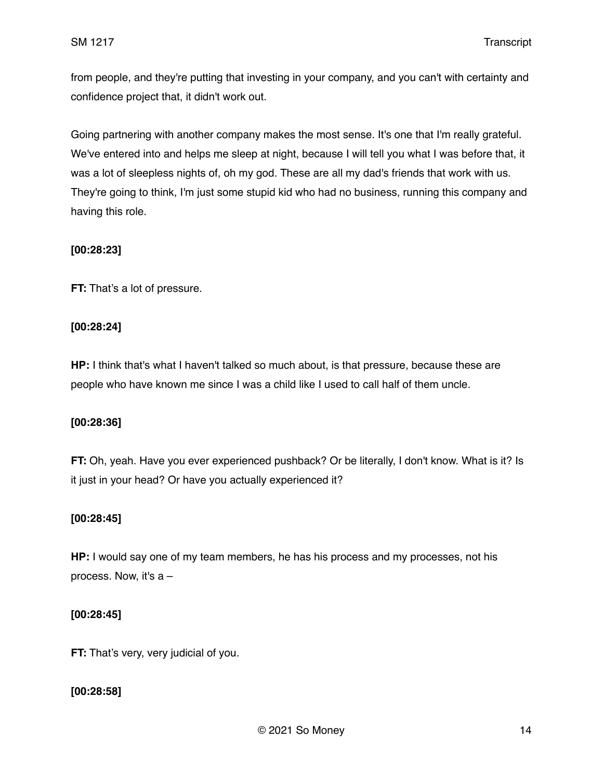from people, and they're putting that investing in your company, and you can't with certainty and confidence project that, it didn't work out.

Going partnering with another company makes the most sense. It's one that I'm really grateful. We've entered into and helps me sleep at night, because I will tell you what I was before that, it was a lot of sleepless nights of, oh my god. These are all my dad's friends that work with us. They're going to think, I'm just some stupid kid who had no business, running this company and having this role.

## **[00:28:23]**

**FT:** That's a lot of pressure.

## **[00:28:24]**

**HP:** I think that's what I haven't talked so much about, is that pressure, because these are people who have known me since I was a child like I used to call half of them uncle.

### **[00:28:36]**

**FT:** Oh, yeah. Have you ever experienced pushback? Or be literally, I don't know. What is it? Is it just in your head? Or have you actually experienced it?

### **[00:28:45]**

HP: I would say one of my team members, he has his process and my processes, not his process. Now, it's  $a -$ 

### **[00:28:45]**

**FT:** That's very, very judicial of you.

# **[00:28:58]**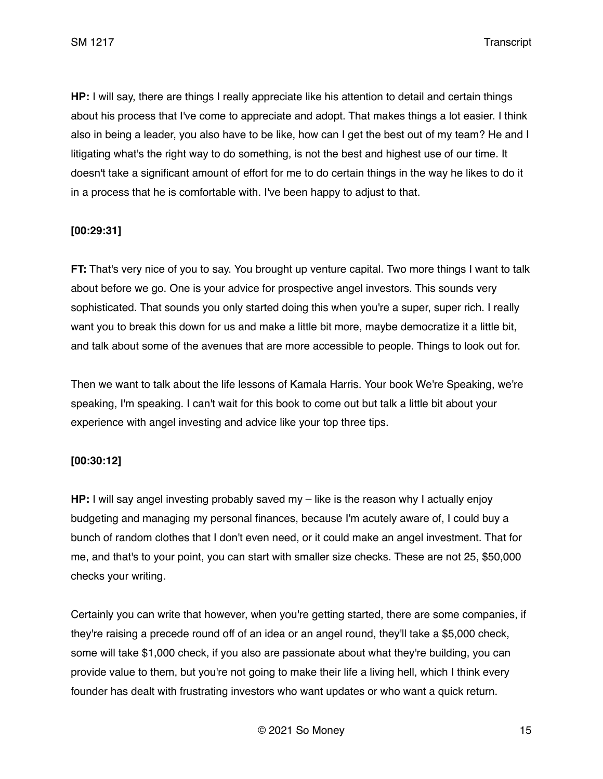**HP:** I will say, there are things I really appreciate like his attention to detail and certain things about his process that I've come to appreciate and adopt. That makes things a lot easier. I think also in being a leader, you also have to be like, how can I get the best out of my team? He and I litigating what's the right way to do something, is not the best and highest use of our time. It doesn't take a significant amount of effort for me to do certain things in the way he likes to do it in a process that he is comfortable with. I've been happy to adjust to that.

## **[00:29:31]**

**FT:** That's very nice of you to say. You brought up venture capital. Two more things I want to talk about before we go. One is your advice for prospective angel investors. This sounds very sophisticated. That sounds you only started doing this when you're a super, super rich. I really want you to break this down for us and make a little bit more, maybe democratize it a little bit, and talk about some of the avenues that are more accessible to people. Things to look out for.

Then we want to talk about the life lessons of Kamala Harris. Your book We're Speaking, we're speaking, I'm speaking. I can't wait for this book to come out but talk a little bit about your experience with angel investing and advice like your top three tips.

### **[00:30:12]**

**HP:** I will say angel investing probably saved my – like is the reason why I actually enjoy budgeting and managing my personal finances, because I'm acutely aware of, I could buy a bunch of random clothes that I don't even need, or it could make an angel investment. That for me, and that's to your point, you can start with smaller size checks. These are not 25, \$50,000 checks your writing.

Certainly you can write that however, when you're getting started, there are some companies, if they're raising a precede round off of an idea or an angel round, they'll take a \$5,000 check, some will take \$1,000 check, if you also are passionate about what they're building, you can provide value to them, but you're not going to make their life a living hell, which I think every founder has dealt with frustrating investors who want updates or who want a quick return.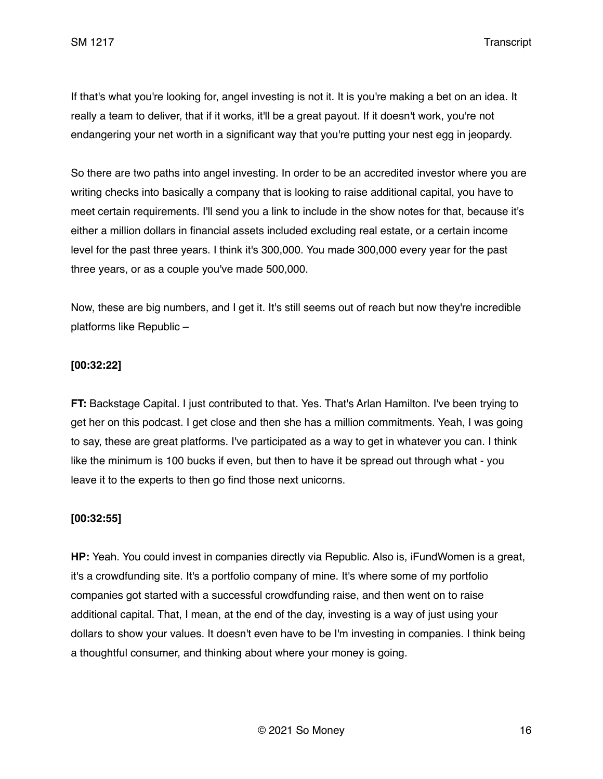If that's what you're looking for, angel investing is not it. It is you're making a bet on an idea. It really a team to deliver, that if it works, it'll be a great payout. If it doesn't work, you're not endangering your net worth in a significant way that you're putting your nest egg in jeopardy.

So there are two paths into angel investing. In order to be an accredited investor where you are writing checks into basically a company that is looking to raise additional capital, you have to meet certain requirements. I'll send you a link to include in the show notes for that, because it's either a million dollars in financial assets included excluding real estate, or a certain income level for the past three years. I think it's 300,000. You made 300,000 every year for the past three years, or as a couple you've made 500,000.

Now, these are big numbers, and I get it. It's still seems out of reach but now they're incredible platforms like Republic –

### **[00:32:22]**

**FT:** Backstage Capital. I just contributed to that. Yes. That's Arlan Hamilton. I've been trying to get her on this podcast. I get close and then she has a million commitments. Yeah, I was going to say, these are great platforms. I've participated as a way to get in whatever you can. I think like the minimum is 100 bucks if even, but then to have it be spread out through what - you leave it to the experts to then go find those next unicorns.

### **[00:32:55]**

**HP:** Yeah. You could invest in companies directly via Republic. Also is, iFundWomen is a great, it's a crowdfunding site. It's a portfolio company of mine. It's where some of my portfolio companies got started with a successful crowdfunding raise, and then went on to raise additional capital. That, I mean, at the end of the day, investing is a way of just using your dollars to show your values. It doesn't even have to be I'm investing in companies. I think being a thoughtful consumer, and thinking about where your money is going.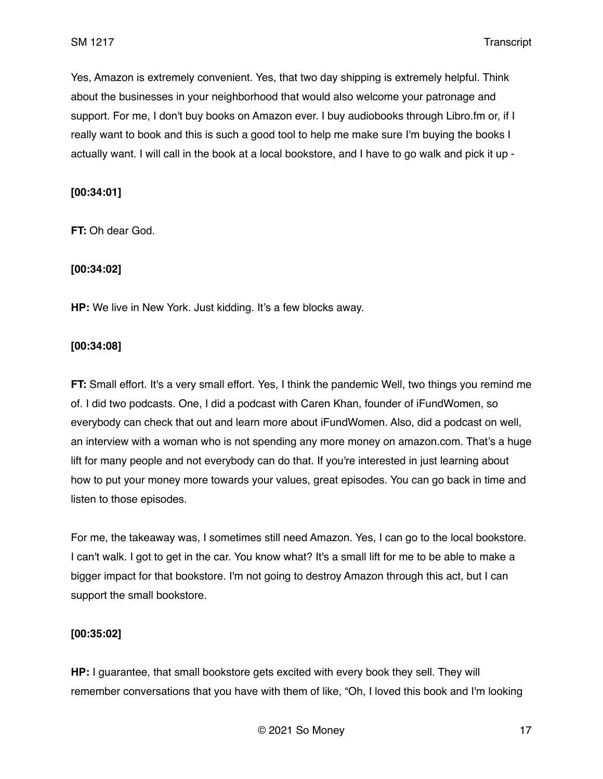Yes, Amazon is extremely convenient. Yes, that two day shipping is extremely helpful. Think about the businesses in your neighborhood that would also welcome your patronage and support. For me, I don't buy books on Amazon ever. I buy audiobooks through Libro.fm or, if I really want to book and this is such a good tool to help me make sure I'm buying the books I actually want. I will call in the book at a local bookstore, and I have to go walk and pick it up -

### **[00:34:01]**

**FT:** Oh dear God.

#### **[00:34:02]**

**HP:** We live in New York. Just kidding. It's a few blocks away.

### **[00:34:08]**

**FT:** Small effort. It's a very small effort. Yes, I think the pandemic Well, two things you remind me of. I did two podcasts. One, I did a podcast with Caren Khan, founder of iFundWomen, so everybody can check that out and learn more about iFundWomen. Also, did a podcast on well, an interview with a woman who is not spending any more money on amazon.com. That's a huge lift for many people and not everybody can do that. If you're interested in just learning about how to put your money more towards your values, great episodes. You can go back in time and listen to those episodes.

For me, the takeaway was, I sometimes still need Amazon. Yes, I can go to the local bookstore. I can't walk. I got to get in the car. You know what? It's a small lift for me to be able to make a bigger impact for that bookstore. I'm not going to destroy Amazon through this act, but I can support the small bookstore.

#### **[00:35:02]**

**HP:** I guarantee, that small bookstore gets excited with every book they sell. They will remember conversations that you have with them of like, "Oh, I loved this book and I'm looking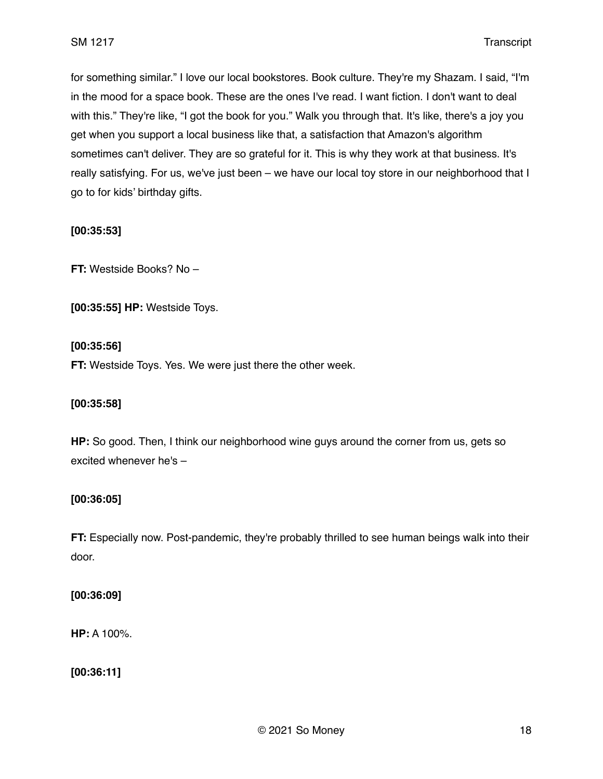for something similar." I love our local bookstores. Book culture. They're my Shazam. I said, "I'm in the mood for a space book. These are the ones I've read. I want fiction. I don't want to deal with this." They're like, "I got the book for you." Walk you through that. It's like, there's a joy you get when you support a local business like that, a satisfaction that Amazon's algorithm sometimes can't deliver. They are so grateful for it. This is why they work at that business. It's really satisfying. For us, we've just been – we have our local toy store in our neighborhood that I go to for kids' birthday gifts.

### **[00:35:53]**

**FT:** Westside Books? No –

**[00:35:55] HP:** Westside Toys.

#### **[00:35:56]**

**FT:** Westside Toys. Yes. We were just there the other week.

#### **[00:35:58]**

**HP:** So good. Then, I think our neighborhood wine guys around the corner from us, gets so excited whenever he's –

#### **[00:36:05]**

**FT:** Especially now. Post-pandemic, they're probably thrilled to see human beings walk into their door.

#### **[00:36:09]**

**HP:** A 100%.

**[00:36:11]**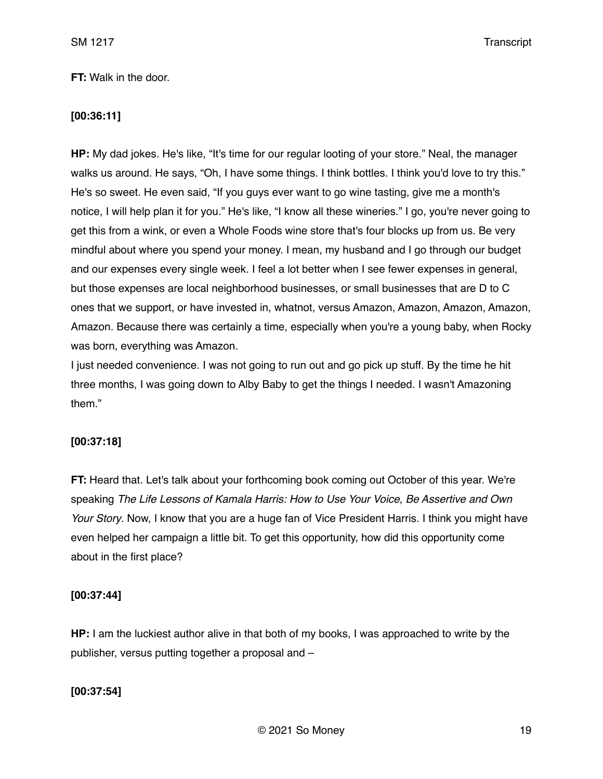### **FT:** Walk in the door.

### **[00:36:11]**

**HP:** My dad jokes. He's like, "It's time for our regular looting of your store." Neal, the manager walks us around. He says, "Oh, I have some things. I think bottles. I think you'd love to try this." He's so sweet. He even said, "If you guys ever want to go wine tasting, give me a month's notice, I will help plan it for you." He's like, "I know all these wineries." I go, you're never going to get this from a wink, or even a Whole Foods wine store that's four blocks up from us. Be very mindful about where you spend your money. I mean, my husband and I go through our budget and our expenses every single week. I feel a lot better when I see fewer expenses in general, but those expenses are local neighborhood businesses, or small businesses that are D to C ones that we support, or have invested in, whatnot, versus Amazon, Amazon, Amazon, Amazon, Amazon. Because there was certainly a time, especially when you're a young baby, when Rocky was born, everything was Amazon.

I just needed convenience. I was not going to run out and go pick up stuff. By the time he hit three months, I was going down to Alby Baby to get the things I needed. I wasn't Amazoning them."

#### **[00:37:18]**

**FT:** Heard that. Let's talk about your forthcoming book coming out October of this year. We're speaking *The Life Lessons of Kamala Harris: How to Use Your Voice, Be Assertive and Own Your Story*. Now, I know that you are a huge fan of Vice President Harris. I think you might have even helped her campaign a little bit. To get this opportunity, how did this opportunity come about in the first place?

#### **[00:37:44]**

**HP:** I am the luckiest author alive in that both of my books, I was approached to write by the publisher, versus putting together a proposal and –

### **[00:37:54]**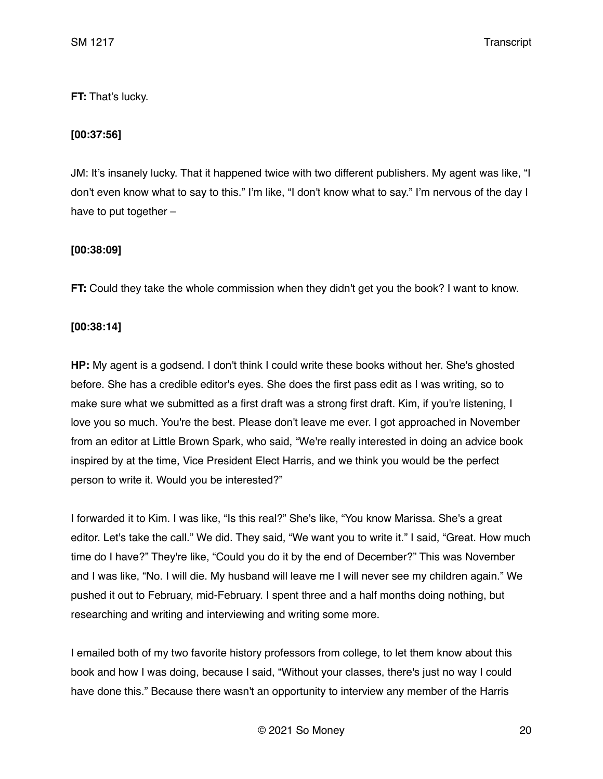## **FT:** That's lucky.

## **[00:37:56]**

JM: It's insanely lucky. That it happened twice with two different publishers. My agent was like, "I don't even know what to say to this." I'm like, "I don't know what to say." I'm nervous of the day I have to put together –

### **[00:38:09]**

**FT:** Could they take the whole commission when they didn't get you the book? I want to know.

### **[00:38:14]**

**HP:** My agent is a godsend. I don't think I could write these books without her. She's ghosted before. She has a credible editor's eyes. She does the first pass edit as I was writing, so to make sure what we submitted as a first draft was a strong first draft. Kim, if you're listening, I love you so much. You're the best. Please don't leave me ever. I got approached in November from an editor at Little Brown Spark, who said, "We're really interested in doing an advice book inspired by at the time, Vice President Elect Harris, and we think you would be the perfect person to write it. Would you be interested?"

I forwarded it to Kim. I was like, "Is this real?" She's like, "You know Marissa. She's a great editor. Let's take the call." We did. They said, "We want you to write it." I said, "Great. How much time do I have?" They're like, "Could you do it by the end of December?" This was November and I was like, "No. I will die. My husband will leave me I will never see my children again." We pushed it out to February, mid-February. I spent three and a half months doing nothing, but researching and writing and interviewing and writing some more.

I emailed both of my two favorite history professors from college, to let them know about this book and how I was doing, because I said, "Without your classes, there's just no way I could have done this." Because there wasn't an opportunity to interview any member of the Harris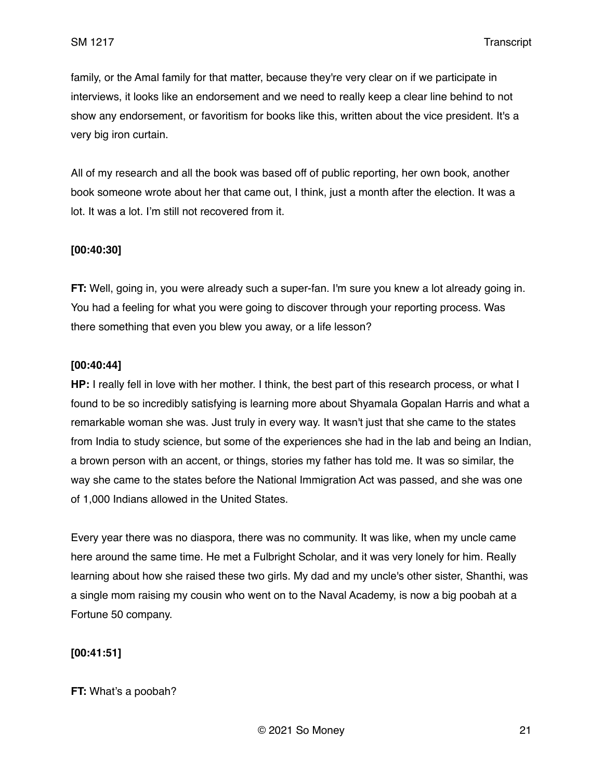family, or the Amal family for that matter, because they're very clear on if we participate in interviews, it looks like an endorsement and we need to really keep a clear line behind to not show any endorsement, or favoritism for books like this, written about the vice president. It's a very big iron curtain.

All of my research and all the book was based off of public reporting, her own book, another book someone wrote about her that came out, I think, just a month after the election. It was a lot. It was a lot. I'm still not recovered from it.

### **[00:40:30]**

**FT:** Well, going in, you were already such a super-fan. I'm sure you knew a lot already going in. You had a feeling for what you were going to discover through your reporting process. Was there something that even you blew you away, or a life lesson?

### **[00:40:44]**

**HP:** I really fell in love with her mother. I think, the best part of this research process, or what I found to be so incredibly satisfying is learning more about Shyamala Gopalan Harris and what a remarkable woman she was. Just truly in every way. It wasn't just that she came to the states from India to study science, but some of the experiences she had in the lab and being an Indian, a brown person with an accent, or things, stories my father has told me. It was so similar, the way she came to the states before the National Immigration Act was passed, and she was one of 1,000 Indians allowed in the United States.

Every year there was no diaspora, there was no community. It was like, when my uncle came here around the same time. He met a Fulbright Scholar, and it was very lonely for him. Really learning about how she raised these two girls. My dad and my uncle's other sister, Shanthi, was a single mom raising my cousin who went on to the Naval Academy, is now a big poobah at a Fortune 50 company.

### **[00:41:51]**

#### **FT:** What's a poobah?